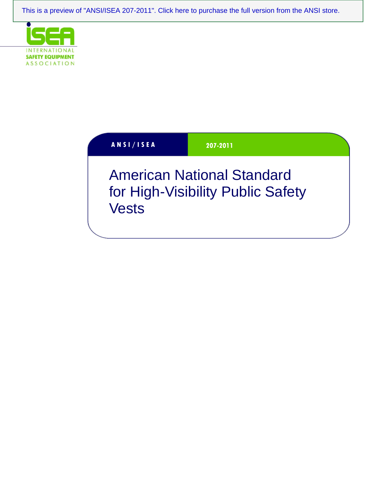[This is a preview of "ANSI/ISEA 207-2011". Click here to purchase the full version from the ANSI store.](https://webstore.ansi.org/Standards/ISEA/ANSIISEA2072011?source=preview)



| <b>ANSI/ISEA</b> |  |  |  |  |
|------------------|--|--|--|--|
|                  |  |  |  |  |

**A N S I / I S E A 207-2011** 

American National Standard for High-Visibility Public Safety Vests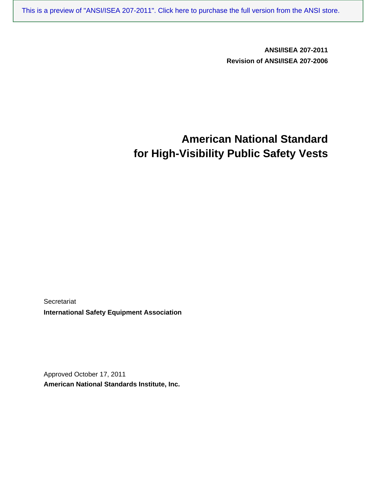[This is a preview of "ANSI/ISEA 207-2011". Click here to purchase the full version from the ANSI store.](https://webstore.ansi.org/Standards/ISEA/ANSIISEA2072011?source=preview)

**ANSI/ISEA 207-2011 Revision of ANSI/ISEA 207-2006** 

# **American National Standard for High-Visibility Public Safety Vests**

**Secretariat International Safety Equipment Association** 

Approved October 17, 2011 **American National Standards Institute, Inc.**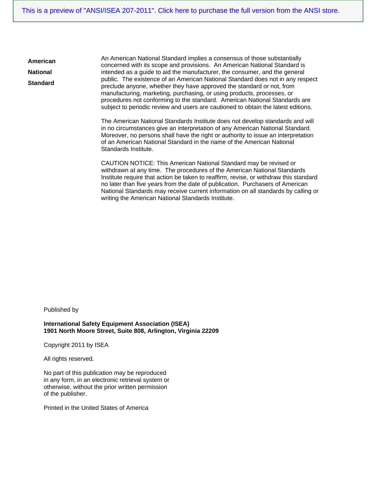An American National Standard implies a consensus of those substantially concerned with its scope and provisions. An American National Standard is intended as a guide to aid the manufacturer, the consumer, and the general public. The existence of an American National Standard does not in any respect preclude anyone, whether they have approved the standard or not, from manufacturing, marketing, purchasing, or using products, processes, or procedures not conforming to the standard. American National Standards are subject to periodic review and users are cautioned to obtain the latest editions.

The American National Standards Institute does not develop standards and will in no circumstances give an interpretation of any American National Standard. Moreover, no persons shall have the right or authority to issue an interpretation of an American National Standard in the name of the American National Standards Institute.

CAUTION NOTICE: This American National Standard may be revised or withdrawn at any time. The procedures of the American National Standards Institute require that action be taken to reaffirm, revise, or withdraw this standard no later than five years from the date of publication. Purchasers of American National Standards may receive current information on all standards by calling or writing the American National Standards Institute.

Published by

**American National Standard** 

> **International Safety Equipment Association (ISEA) 1901 North Moore Street, Suite 808, Arlington, Virginia 22209**

Copyright 2011 by ISEA

All rights reserved.

No part of this publication may be reproduced in any form, in an electronic retrieval system or otherwise, without the prior written permission of the publisher.

Printed in the United States of America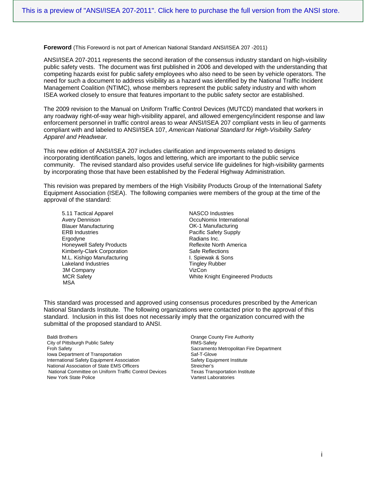**Foreword** (This Foreword is not part of American National Standard ANSI/ISEA 207 -2011)

ANSI/ISEA 207-2011 represents the second iteration of the consensus industry standard on high-visibility public safety vests. The document was first published in 2006 and developed with the understanding that competing hazards exist for public safety employees who also need to be seen by vehicle operators. The need for such a document to address visibility as a hazard was identified by the National Traffic Incident Management Coalition (NTIMC), whose members represent the public safety industry and with whom ISEA worked closely to ensure that features important to the public safety sector are established.

The 2009 revision to the Manual on Uniform Traffic Control Devices (MUTCD) mandated that workers in any roadway right-of-way wear high-visibility apparel, and allowed emergency/incident response and law enforcement personnel in traffic control areas to wear ANSI/ISEA 207 compliant vests in lieu of garments compliant with and labeled to ANSI/ISEA 107, *American National Standard for High-Visibility Safety Apparel and Headwear.* 

This new edition of ANSI/ISEA 207 includes clarification and improvements related to designs incorporating identification panels, logos and lettering, which are important to the public service community. The revised standard also provides useful service life guidelines for high-visibility garments by incorporating those that have been established by the Federal Highway Administration.

This revision was prepared by members of the High Visibility Products Group of the International Safety Equipment Association (ISEA). The following companies were members of the group at the time of the approval of the standard:

5.11 Tactical Apparel Avery Dennison Blauer Manufacturing ERB Industries **Ergodyne** Honeywell Safety Products Kimberly-Clark Corporation M.L. Kishigo Manufacturing Lakeland Industries 3M Company MCR Safety MSA

NASCO Industries OccuNomix International OK-1 Manufacturing Pacific Safety Supply Radians Inc. Reflexite North America Safe Reflections I. Spiewak & Sons Tingley Rubber VizCon White Knight Engineered Products

This standard was processed and approved using consensus procedures prescribed by the American National Standards Institute. The following organizations were contacted prior to the approval of this standard. Inclusion in this list does not necessarily imply that the organization concurred with the submittal of the proposed standard to ANSI.

Baldi Brothers **County Fire Authority Baldi Brothers Orange County Fire Authority** City of Pittsburgh Public Safety **RMS-Safety** RMS-Safety Froh Safety<br>
Iowa Department of Transportation<br>
Saf-T-Glove<br>
Saf-T-Glove Iowa Department of Transportation International Safety Equipment Association Safety Equipment Institute National Association of State EMS Officers Street Controller's National Committee on Uniform Traffic Control Devices Texas Transportation Institute<br>New York State Police Texas Transportation Institute New York State Police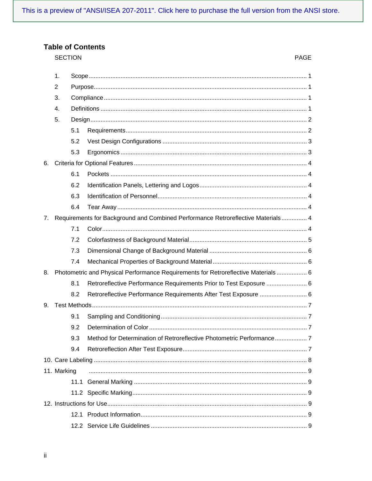## **Table of Contents**

**SECTION** 

### PAGE

|    | 1.          |     |                                                                                   |  |
|----|-------------|-----|-----------------------------------------------------------------------------------|--|
|    | 2           |     |                                                                                   |  |
|    | 3.          |     |                                                                                   |  |
|    | 4.          |     |                                                                                   |  |
|    | 5.          |     |                                                                                   |  |
|    |             | 5.1 |                                                                                   |  |
|    |             | 5.2 |                                                                                   |  |
|    |             | 5.3 |                                                                                   |  |
| 6. |             |     |                                                                                   |  |
|    |             | 6.1 |                                                                                   |  |
|    |             | 6.2 |                                                                                   |  |
|    |             | 6.3 |                                                                                   |  |
|    |             | 6.4 |                                                                                   |  |
| 7. |             |     | Requirements for Background and Combined Performance Retroreflective Materials 4  |  |
|    |             | 7.1 |                                                                                   |  |
|    |             | 7.2 |                                                                                   |  |
|    |             | 7.3 |                                                                                   |  |
|    |             | 7.4 |                                                                                   |  |
| 8. |             |     | Photometric and Physical Performance Requirements for Retroreflective Materials 6 |  |
|    |             | 8.1 | Retroreflective Performance Requirements Prior to Test Exposure  6                |  |
|    |             | 8.2 | Retroreflective Performance Requirements After Test Exposure  6                   |  |
| 9. |             |     |                                                                                   |  |
|    |             | 9.1 |                                                                                   |  |
|    |             | 9.2 |                                                                                   |  |
|    |             | 9.3 | Method for Determination of Retroreflective Photometric Performance               |  |
|    |             | 9.4 |                                                                                   |  |
|    |             |     |                                                                                   |  |
|    | 11. Marking |     |                                                                                   |  |
|    |             |     |                                                                                   |  |
|    |             |     |                                                                                   |  |
|    |             |     |                                                                                   |  |
|    |             |     |                                                                                   |  |
|    |             |     |                                                                                   |  |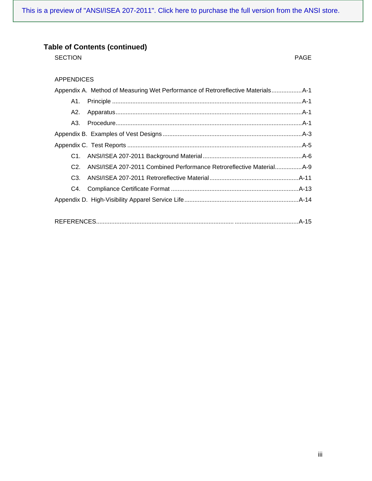[This is a preview of "ANSI/ISEA 207-2011". Click here to purchase the full version from the ANSI store.](https://webstore.ansi.org/Standards/ISEA/ANSIISEA2072011?source=preview)

### **Table of Contents (continued)**

SECTION PAGE

### APPENDICES

|     | Appendix A. Method of Measuring Wet Performance of Retroreflective Materials A-1 |  |
|-----|----------------------------------------------------------------------------------|--|
| A1. |                                                                                  |  |
| A2. |                                                                                  |  |
|     |                                                                                  |  |
|     |                                                                                  |  |
|     |                                                                                  |  |
|     |                                                                                  |  |
| C2  | ANSI/ISEA 207-2011 Combined Performance Retroreflective Material A-9             |  |
| C3. |                                                                                  |  |
|     |                                                                                  |  |
|     |                                                                                  |  |
|     |                                                                                  |  |

|--|